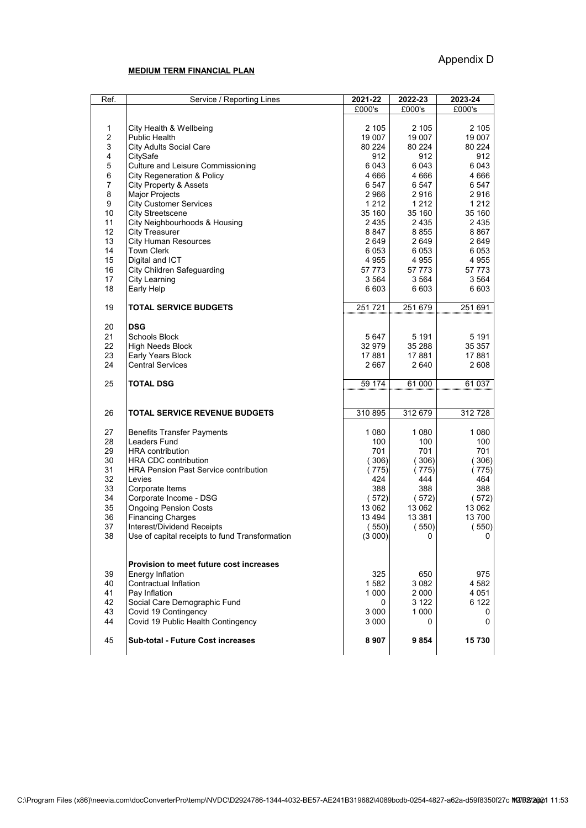## **MEDIUM TERM FINANCIAL PLAN**

| Ref.                    | Service / Reporting Lines                                  | 2021-22       | 2022-23            | 2023-24       |
|-------------------------|------------------------------------------------------------|---------------|--------------------|---------------|
|                         |                                                            | £000's        | £000's             | £000's        |
|                         |                                                            |               |                    |               |
| 1                       | City Health & Wellbeing                                    | 2 105         | 2 1 0 5            | 2 105         |
| $\overline{c}$          | <b>Public Health</b>                                       | 19 007        | 19 007             | 19 007        |
| 3                       | <b>City Adults Social Care</b>                             | 80 224        | 80 224             | 80 224        |
| 4                       | CitySafe                                                   | 912           | 912                | 912           |
| 5                       | Culture and Leisure Commissioning                          | 6043          | 6 0 4 3            | 6 0 4 3       |
| $\,6$<br>$\overline{7}$ | <b>City Regeneration &amp; Policy</b>                      | 4 6 6 6       | 4 6 6 6            | 4 6 6 6       |
| 8                       | City Property & Assets<br><b>Major Projects</b>            | 6 547<br>2966 | 6 5 4 7<br>2916    | 6 547<br>2916 |
| 9                       | <b>City Customer Services</b>                              | 1 2 1 2       | 1 2 1 2            | 1 2 1 2       |
| 10                      | <b>City Streetscene</b>                                    | 35 160        | 35 160             | 35 160        |
| 11                      | City Neighbourhoods & Housing                              | 2 4 3 5       | 2 4 3 5            | 2 4 3 5       |
| 12                      | <b>City Treasurer</b>                                      | 8 8 4 7       | 8855               | 8867          |
| 13                      | <b>City Human Resources</b>                                | 2 649         | 2 649              | 2 649         |
| 14                      | <b>Town Clerk</b>                                          | 6 0 5 3       | 6 0 5 3            | 6 0 5 3       |
| 15                      | Digital and ICT                                            | 4955          | 4 9 5 5            | 4955          |
| 16                      | City Children Safeguarding                                 | 57 773        | 57 773             | 57 773        |
| 17                      | City Learning                                              | 3 564         | 3 5 6 4            | 3 5 6 4       |
| 18                      | Early Help                                                 | 6 603         | 6 603              | 6 603         |
| 19                      | <b>TOTAL SERVICE BUDGETS</b>                               | 251721        | 251 679            | 251 691       |
| 20                      | <b>DSG</b>                                                 |               |                    |               |
| 21                      | Schools Block                                              | 5647          | 5 1 9 1            | 5 1 9 1       |
| 22                      | <b>High Needs Block</b>                                    | 32 979        | 35 288             | 35 357        |
| 23                      | Early Years Block                                          | 17881         | 17881              | 17881         |
| 24                      | <b>Central Services</b>                                    | 2667          | 2640               | 2 608         |
| 25                      | <b>TOTAL DSG</b>                                           | 59 174        | 61 000             | 61 037        |
| 26                      | <b>TOTAL SERVICE REVENUE BUDGETS</b>                       | 310 895       | 312 679            | 312728        |
|                         |                                                            |               |                    |               |
| 27                      | <b>Benefits Transfer Payments</b>                          | 1 0 8 0       | 1 0 8 0            | 1 0 8 0       |
| 28<br>29                | Leaders Fund<br><b>HRA</b> contribution                    | 100<br>701    | 100<br>701         | 100<br>701    |
| 30                      | <b>HRA CDC contribution</b>                                | (306)         | (306)              | (306)         |
| 31                      | <b>HRA Pension Past Service contribution</b>               | (775)         | (775)              | (775)         |
| 32                      | Levies                                                     | 424           | 444                | 464           |
| 33                      | Corporate Items                                            | 388           | 388                | 388           |
| 34                      | Corporate Income - DSG                                     | (572)         | (572)              | (572)         |
| 35                      | <b>Ongoing Pension Costs</b>                               | 13 062        | 13 062             | 13 062        |
| 36                      | <b>Financing Charges</b>                                   | 13 4 94       | 13 3 8 1           | 13 700        |
| 37                      | Interest/Dividend Receipts                                 | 550)          | (550)              | 550)          |
| 38                      | Use of capital receipts to fund Transformation             | (3000)        | 0                  | 0             |
|                         |                                                            |               |                    |               |
|                         | Provision to meet future cost increases                    |               |                    |               |
| 39                      | Energy Inflation                                           | 325           | 650                | 975           |
| 40                      | Contractual Inflation                                      | 1582          | 3 0 8 2            | 4 5 8 2       |
| 41                      | Pay Inflation                                              | 1 000         | 2 000              | 4 051         |
| 42                      | Social Care Demographic Fund                               | 0<br>3 0 0 0  | 3 1 2 2<br>1 0 0 0 | 6 122         |
| 43<br>44                | Covid 19 Contingency<br>Covid 19 Public Health Contingency | 3 0 0 0       | 0                  | 0<br>0        |
|                         |                                                            |               |                    |               |
| 45                      | Sub-total - Future Cost increases                          | 8907          | 9854               | 15730         |